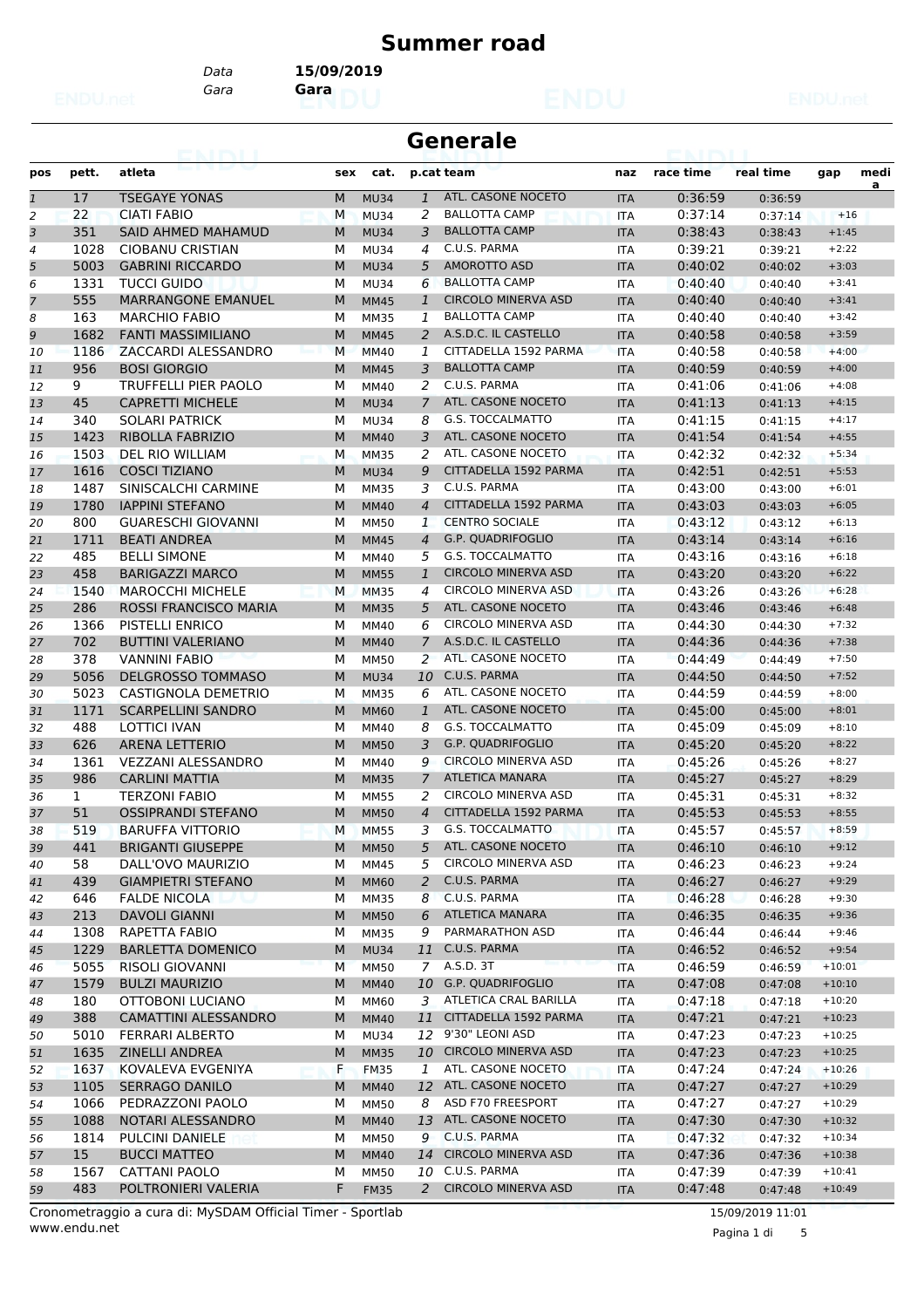#### **Summer road**

*Gara* **Gara** *Data* **15/09/2019**

| Generale |  |
|----------|--|
|----------|--|

| pos            | pett.        | atleta                                            | sex       | cat.        |                   | p.cat team                 | naz                      | race time          | real time | gap      | medi |
|----------------|--------------|---------------------------------------------------|-----------|-------------|-------------------|----------------------------|--------------------------|--------------------|-----------|----------|------|
| $\mathbf{1}$   | 17           | <b>TSEGAYE YONAS</b>                              | M         | <b>MU34</b> | $\mathbf{1}$      | ATL. CASONE NOCETO         | <b>ITA</b>               | 0:36:59            | 0:36:59   |          | a    |
| $\overline{2}$ | 22           | <b>CIATI FABIO</b>                                | M         | <b>MU34</b> | 2                 | <b>BALLOTTA CAMP</b>       | <b>ITA</b>               | 0:37:14            | 0:37:14   | $+16$    |      |
| 3              | 351          | <b>SAID AHMED MAHAMUD</b>                         | M         | <b>MU34</b> | 3                 | <b>BALLOTTA CAMP</b>       | <b>ITA</b>               | 0:38:43            | 0:38:43   | $+1:45$  |      |
| $\overline{4}$ | 1028         | <b>CIOBANU CRISTIAN</b>                           | M         | <b>MU34</b> | 4                 | C.U.S. PARMA               | <b>ITA</b>               | 0:39:21            | 0:39:21   | $+2:22$  |      |
| 5              | 5003         | <b>GABRINI RICCARDO</b>                           | M         | <b>MU34</b> | 5                 | <b>AMOROTTO ASD</b>        | <b>ITA</b>               | 0:40:02            | 0:40:02   | $+3:03$  |      |
| 6              | 1331         | <b>TUCCI GUIDO</b>                                | M         | <b>MU34</b> | 6                 | <b>BALLOTTA CAMP</b>       | <b>ITA</b>               | 0:40:40            | 0:40:40   | $+3:41$  |      |
| 7              | 555          | <b>MARRANGONE EMANUEL</b>                         | M         | <b>MM45</b> | $\mathbf{1}$      | <b>CIRCOLO MINERVA ASD</b> | <b>ITA</b>               | 0:40:40            | 0:40:40   | $+3:41$  |      |
| 8              | 163          | <b>MARCHIO FABIO</b>                              | M         | <b>MM35</b> | 1                 | <b>BALLOTTA CAMP</b>       | <b>ITA</b>               | 0:40:40            | 0:40:40   | $+3:42$  |      |
| 9              | 1682         | <b>FANTI MASSIMILIANO</b>                         | M         | <b>MM45</b> | 2                 | A.S.D.C. IL CASTELLO       | <b>ITA</b>               | 0:40:58            | 0:40:58   | $+3:59$  |      |
| 10             | 1186         | ZACCARDI ALESSANDRO                               | M         | <b>MM40</b> | 1                 | CITTADELLA 1592 PARMA      | <b>ITA</b>               | 0:40:58            | 0:40:58   | $+4:00$  |      |
| 11             | 956          | <b>BOSI GIORGIO</b>                               | M         | <b>MM45</b> | 3                 | <b>BALLOTTA CAMP</b>       | <b>ITA</b>               | 0:40:59            | 0:40:59   | $+4:00$  |      |
| 12             | 9            | <b>TRUFFELLI PIER PAOLO</b>                       | M         | MM40        | 2                 | C.U.S. PARMA               | <b>ITA</b>               | 0:41:06            | 0:41:06   | $+4:08$  |      |
| 13             | 45           | <b>CAPRETTI MICHELE</b>                           | M         | <b>MU34</b> | $\overline{7}$    | ATL. CASONE NOCETO         | <b>ITA</b>               | 0:41:13            | 0:41:13   | $+4:15$  |      |
| 14             | 340          | <b>SOLARI PATRICK</b>                             | M         | <b>MU34</b> | 8                 | <b>G.S. TOCCALMATTO</b>    | <b>ITA</b>               | 0:41:15            | 0:41:15   | $+4:17$  |      |
| 15             | 1423         | <b>RIBOLLA FABRIZIO</b>                           | M         | <b>MM40</b> | 3                 | ATL. CASONE NOCETO         | <b>ITA</b>               | 0:41:54            | 0:41:54   | $+4:55$  |      |
| 16             | 1503         | DEL RIO WILLIAM                                   | M         | <b>MM35</b> | 2                 | ATL. CASONE NOCETO         | ITA                      | 0:42:32            | 0:42:32   | $+5:34$  |      |
| 17             | 1616         | <b>COSCI TIZIANO</b>                              | M         | <b>MU34</b> | 9                 | CITTADELLA 1592 PARMA      | <b>ITA</b>               | 0:42:51            | 0:42:51   | $+5:53$  |      |
| 18             | 1487         | SINISCALCHI CARMINE                               | M         | <b>MM35</b> | 3                 | C.U.S. PARMA               | <b>ITA</b>               | 0:43:00            | 0:43:00   | $+6:01$  |      |
| 19             | 1780         | <b>IAPPINI STEFANO</b>                            | M         | <b>MM40</b> | $\overline{4}$    | CITTADELLA 1592 PARMA      | <b>ITA</b>               | 0:43:03            | 0:43:03   | $+6:05$  |      |
|                | 800          | <b>GUARESCHI GIOVANNI</b>                         | M         | <b>MM50</b> | 1                 | <b>CENTRO SOCIALE</b>      |                          | 0:43:12            |           | $+6:13$  |      |
| 20             | 1711         |                                                   | M         |             | $\overline{4}$    | G.P. QUADRIFOGLIO          | <b>ITA</b><br><b>ITA</b> | 0:43:14            | 0:43:12   | $+6:16$  |      |
| 21             | 485          | <b>BEATI ANDREA</b>                               | M         | <b>MM45</b> |                   | G.S. TOCCALMATTO           |                          |                    | 0:43:14   | $+6:18$  |      |
| 22             | 458          | <b>BELLI SIMONE</b>                               |           | MM40        | 5<br>$\mathbf{1}$ | <b>CIRCOLO MINERVA ASD</b> | <b>ITA</b>               | 0:43:16<br>0:43:20 | 0:43:16   | $+6:22$  |      |
| 23             |              | <b>BARIGAZZI MARCO</b><br><b>MAROCCHI MICHELE</b> | M         | <b>MM55</b> |                   | <b>CIRCOLO MINERVA ASD</b> | <b>ITA</b>               |                    | 0:43:20   | $+6:28$  |      |
| 24             | 1540<br>286  |                                                   | M         | <b>MM35</b> | 4                 | ATL. CASONE NOCETO         | <b>ITA</b>               | 0:43:26<br>0:43:46 | 0:43:26   |          |      |
| 25             |              | ROSSI FRANCISCO MARIA                             | M         | <b>MM35</b> | 5                 | <b>CIRCOLO MINERVA ASD</b> | <b>ITA</b>               |                    | 0:43:46   | $+6:48$  |      |
| 26             | 1366         | <b>PISTELLI ENRICO</b>                            | M         | MM40        | 6                 |                            | <b>ITA</b>               | 0:44:30            | 0:44:30   | $+7:32$  |      |
| 27             | 702          | <b>BUTTINI VALERIANO</b>                          | M         | <b>MM40</b> | $\overline{7}$    | A.S.D.C. IL CASTELLO       | <b>ITA</b>               | 0:44:36            | 0:44:36   | $+7:38$  |      |
| 28             | 378          | <b>VANNINI FABIO</b>                              | M         | <b>MM50</b> | 2                 | ATL. CASONE NOCETO         | <b>ITA</b>               | 0:44:49            | 0:44:49   | $+7:50$  |      |
| 29             | 5056         | <b>DELGROSSO TOMMASO</b>                          | M         | <b>MU34</b> | 10                | C.U.S. PARMA               | <b>ITA</b>               | 0:44:50            | 0:44:50   | $+7:52$  |      |
| 30             | 5023         | <b>CASTIGNOLA DEMETRIO</b>                        | М         | <b>MM35</b> | 6                 | ATL. CASONE NOCETO         | <b>ITA</b>               | 0:44:59            | 0:44:59   | $+8:00$  |      |
| 31             | 1171         | <b>SCARPELLINI SANDRO</b>                         | M         | <b>MM60</b> | 1                 | ATL. CASONE NOCETO         | <b>ITA</b>               | 0:45:00            | 0:45:00   | $+8:01$  |      |
| 32             | 488          | <b>LOTTICI IVAN</b>                               | M         | MM40        | 8                 | G.S. TOCCALMATTO           | <b>ITA</b>               | 0:45:09            | 0:45:09   | $+8:10$  |      |
| 33             | 626          | <b>ARENA LETTERIO</b>                             | M         | <b>MM50</b> | 3                 | G.P. QUADRIFOGLIO          | <b>ITA</b>               | 0:45:20            | 0:45:20   | $+8:22$  |      |
| 34             | 1361         | <b>VEZZANI ALESSANDRO</b>                         | M         | MM40        | 9                 | <b>CIRCOLO MINERVA ASD</b> | <b>ITA</b>               | 0:45:26            | 0:45:26   | $+8:27$  |      |
| 35             | 986          | <b>CARLINI MATTIA</b>                             | M         | <b>MM35</b> | $\overline{7}$    | <b>ATLETICA MANARA</b>     | <b>ITA</b>               | 0:45:27            | 0:45:27   | $+8:29$  |      |
| 36             | $\mathbf{1}$ | <b>TERZONI FABIO</b>                              | М         | <b>MM55</b> | 2                 | <b>CIRCOLO MINERVA ASD</b> | <b>ITA</b>               | 0:45:31            | 0:45:31   | $+8:32$  |      |
| 37             | 51           | <b>OSSIPRANDI STEFANO</b>                         | M         | <b>MM50</b> | $\overline{4}$    | CITTADELLA 1592 PARMA      | <b>ITA</b>               | 0:45:53            | 0:45:53   | $+8:55$  |      |
| 38             | 519          | <b>BARUFFA VITTORIO</b>                           | M         | <b>MM55</b> | 3                 | <b>G.S. TOCCALMATTO</b>    | <b>ITA</b>               | 0:45:57            | 0:45:57   | $+8:59$  |      |
| 39             | 441          | <b>BRIGANTI GIUSEPPE</b>                          | M         | <b>MM50</b> | 5                 | ATL. CASONE NOCETO         | <b>ITA</b>               | 0:46:10            | 0:46:10   | $+9:12$  |      |
| 40             | 58           | DALL'OVO MAURIZIO                                 | М         | MM45        |                   | 5 CIRCOLO MINERVA ASD      | ITA                      | 0:46:23            | 0:46:23   | $+9:24$  |      |
| 41             | 439          | <b>GIAMPIETRI STEFANO</b>                         | ${\sf M}$ | <b>MM60</b> | 2                 | C.U.S. PARMA               | <b>ITA</b>               | 0:46:27            | 0:46:27   | $+9:29$  |      |
| 42             | 646          | <b>FALDE NICOLA</b>                               | М         | <b>MM35</b> | 8                 | C.U.S. PARMA               | ITA                      | 0:46:28            | 0:46:28   | $+9:30$  |      |
| 43             | 213          | <b>DAVOLI GIANNI</b>                              | M         | <b>MM50</b> | 6                 | <b>ATLETICA MANARA</b>     | <b>ITA</b>               | 0:46:35            | 0:46:35   | $+9:36$  |      |
| 44             | 1308         | RAPETTA FABIO                                     | М         | MM35        | 9                 | PARMARATHON ASD            | ITA                      | 0:46:44            | 0:46:44   | $+9:46$  |      |
| 45             | 1229         | <b>BARLETTA DOMENICO</b>                          | M         | <b>MU34</b> | 11                | C.U.S. PARMA               | <b>ITA</b>               | 0:46:52            | 0:46:52   | $+9:54$  |      |
| 46             | 5055         | <b>RISOLI GIOVANNI</b>                            | M         | <b>MM50</b> |                   | 7 A.S.D. 3T                | <b>ITA</b>               | 0:46:59            | 0:46:59   | $+10:01$ |      |
| 47             | 1579         | <b>BULZI MAURIZIO</b>                             | M         | <b>MM40</b> |                   | 10 G.P. QUADRIFOGLIO       | <b>ITA</b>               | 0:47:08            | 0:47:08   | $+10:10$ |      |
| 48             | 180          | OTTOBONI LUCIANO                                  | М         | MM60        | 3                 | ATLETICA CRAL BARILLA      | ITA                      | 0:47:18            | 0:47:18   | $+10:20$ |      |
| 49             | 388          | <b>CAMATTINI ALESSANDRO</b>                       | M         | <b>MM40</b> | 11                | CITTADELLA 1592 PARMA      | <b>ITA</b>               | 0:47:21            | 0:47:21   | $+10:23$ |      |
| 50             | 5010         | FERRARI ALBERTO                                   | М         | <b>MU34</b> | 12                | 9'30" LEONI ASD            | ITA                      | 0:47:23            | 0:47:23   | $+10:25$ |      |
| 51             | 1635         | <b>ZINELLI ANDREA</b>                             | M         | <b>MM35</b> |                   | 10 CIRCOLO MINERVA ASD     | <b>ITA</b>               | 0:47:23            | 0:47:23   | $+10:25$ |      |
| 52             | 1637         | KOVALEVA EVGENIYA                                 | F         | <b>FM35</b> | 1                 | ATL. CASONE NOCETO         | <b>ITA</b>               | 0:47:24            | 0:47:24   | $+10:26$ |      |
| 53             | 1105         | <b>SERRAGO DANILO</b>                             | ${\sf M}$ | <b>MM40</b> |                   | 12 ATL. CASONE NOCETO      | <b>ITA</b>               | 0:47:27            | 0:47:27   | $+10:29$ |      |
| 54             | 1066         | PEDRAZZONI PAOLO                                  | M         | <b>MM50</b> | 8                 | ASD F70 FREESPORT          | ITA                      | 0:47:27            | 0:47:27   | $+10:29$ |      |
| 55             | 1088         | NOTARI ALESSANDRO                                 | M         | <b>MM40</b> | 13                | ATL. CASONE NOCETO         | <b>ITA</b>               | 0:47:30            | 0:47:30   | $+10:32$ |      |
| 56             | 1814         | PULCINI DANIELE                                   | М         | <b>MM50</b> | 9                 | C.U.S. PARMA               | ITA                      | 0:47:32            | 0:47:32   | $+10:34$ |      |
| 57             | 15           | <b>BUCCI MATTEO</b>                               | M         | <b>MM40</b> | 14                | <b>CIRCOLO MINERVA ASD</b> | <b>ITA</b>               | 0:47:36            | 0:47:36   | $+10:38$ |      |
| 58             | 1567         | <b>CATTANI PAOLO</b>                              | М         | <b>MM50</b> | 10                | C.U.S. PARMA               | ITA                      | 0:47:39            | 0:47:39   | $+10:41$ |      |
| 59             | 483          | POLTRONIERI VALERIA                               | F         | <b>FM35</b> | $2^{\circ}$       | <b>CIRCOLO MINERVA ASD</b> | <b>ITA</b>               | 0:47:48            | 0:47:48   | $+10:49$ |      |

www.endu.net Cronometraggio a cura di: MySDAM Official Timer - Sportlab 15/09/2019 11:01

Pagina 1 di 5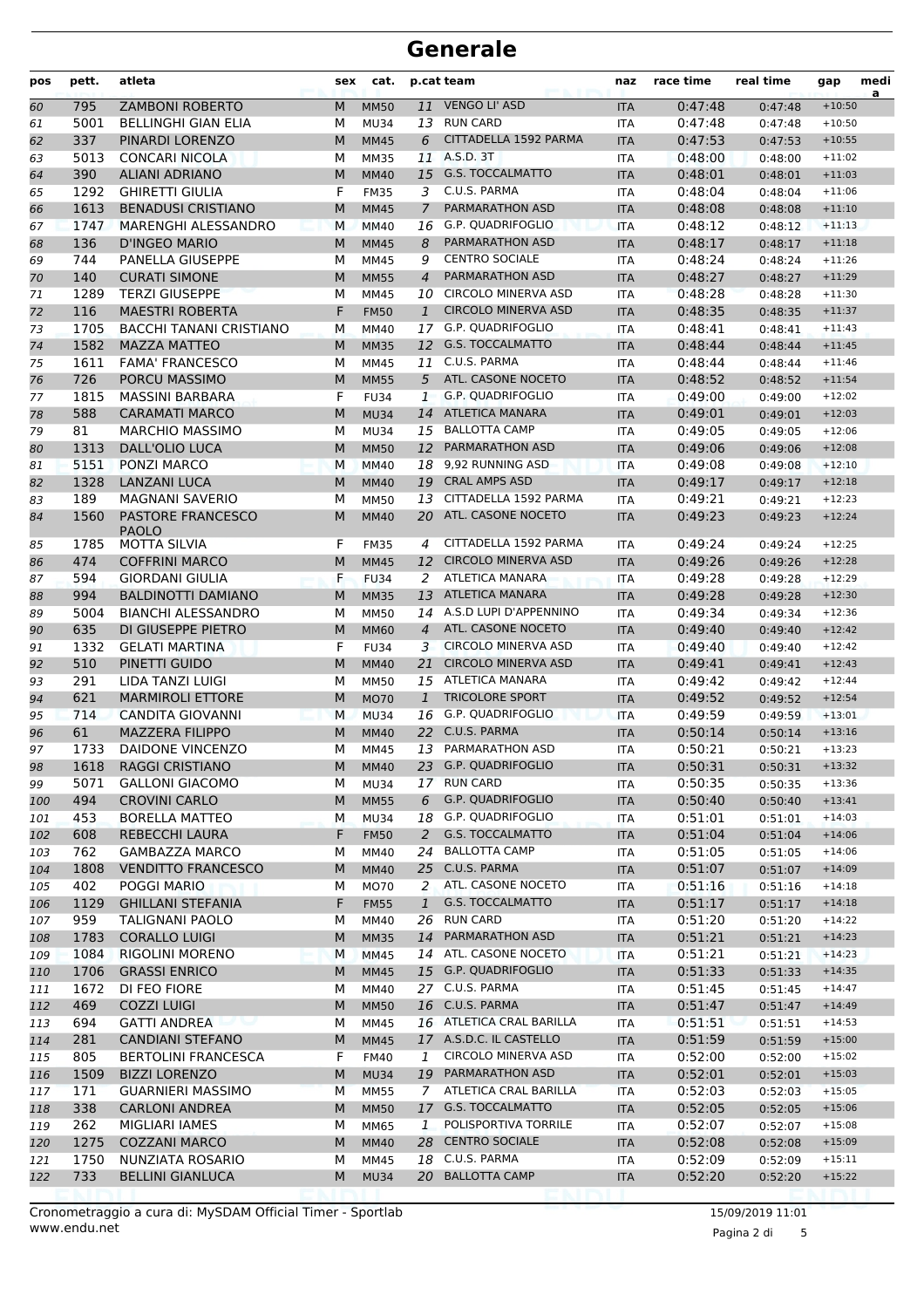| pos | pett. | atleta                         | sex       | cat.        |                | p.cat team                 | naz        | race time | real time | gap      | medi<br>a |
|-----|-------|--------------------------------|-----------|-------------|----------------|----------------------------|------------|-----------|-----------|----------|-----------|
| 60  | 795   | <b>ZAMBONI ROBERTO</b>         | M         | <b>MM50</b> | 11             | <b>VENGO LI' ASD</b>       | <b>ITA</b> | 0:47:48   | 0:47:48   | $+10:50$ |           |
| 61  | 5001  | <b>BELLINGHI GIAN ELIA</b>     | М         | <b>MU34</b> |                | 13 RUN CARD                | <b>ITA</b> | 0:47:48   | 0:47:48   | $+10:50$ |           |
| 62  | 337   | PINARDI LORENZO                | M         | <b>MM45</b> | 6              | CITTADELLA 1592 PARMA      | <b>ITA</b> | 0:47:53   | 0:47:53   | $+10:55$ |           |
| 63  | 5013  | <b>CONCARI NICOLA</b>          | м         | <b>MM35</b> | 11             | A.S.D. 3T                  | <b>ITA</b> | 0:48:00   | 0:48:00   | $+11:02$ |           |
| 64  | 390   | <b>ALIANI ADRIANO</b>          | M         | <b>MM40</b> |                | 15 G.S. TOCCALMATTO        | <b>ITA</b> | 0:48:01   | 0:48:01   | $+11:03$ |           |
| 65  | 1292  | <b>GHIRETTI GIULIA</b>         | F         | <b>FM35</b> | 3              | C.U.S. PARMA               | <b>ITA</b> | 0:48:04   | 0:48:04   | $+11:06$ |           |
| 66  | 1613  | <b>BENADUSI CRISTIANO</b>      | M         | <b>MM45</b> | $\overline{7}$ | PARMARATHON ASD            | <b>ITA</b> | 0:48:08   | 0:48:08   | $+11:10$ |           |
| 67  | 1747  | MARENGHI ALESSANDRO            | M         | <b>MM40</b> | 16             | G.P. QUADRIFOGLIO          | <b>ITA</b> | 0:48:12   | 0:48:12   | $+11:13$ |           |
| 68  | 136   | <b>D'INGEO MARIO</b>           | M         | <b>MM45</b> | 8              | PARMARATHON ASD            | <b>ITA</b> | 0:48:17   | 0:48:17   | $+11:18$ |           |
| 69  | 744   | PANELLA GIUSEPPE               | М         | MM45        | 9              | <b>CENTRO SOCIALE</b>      | <b>ITA</b> | 0:48:24   | 0:48:24   | $+11:26$ |           |
| 70  | 140   | <b>CURATI SIMONE</b>           | M         | <b>MM55</b> | $\overline{4}$ | PARMARATHON ASD            | <b>ITA</b> | 0:48:27   | 0:48:27   | $+11:29$ |           |
| 71  | 1289  | <b>TERZI GIUSEPPE</b>          | М         | MM45        | 10             | <b>CIRCOLO MINERVA ASD</b> | <b>ITA</b> | 0:48:28   | 0:48:28   | $+11:30$ |           |
| 72  | 116   | <b>MAESTRI ROBERTA</b>         | F         | <b>FM50</b> | $\mathbf{1}$   | <b>CIRCOLO MINERVA ASD</b> | <b>ITA</b> | 0:48:35   | 0:48:35   | $+11:37$ |           |
| 73  | 1705  | <b>BACCHI TANANI CRISTIANO</b> | М         | MM40        |                | 17 G.P. QUADRIFOGLIO       | <b>ITA</b> | 0:48:41   | 0:48:41   | $+11:43$ |           |
| 74  | 1582  | <b>MAZZA MATTEO</b>            | M         | <b>MM35</b> |                | 12 G.S. TOCCALMATTO        | <b>ITA</b> | 0:48:44   | 0:48:44   | $+11:45$ |           |
| 75  | 1611  | <b>FAMA' FRANCESCO</b>         | М         | MM45        | 11             | C.U.S. PARMA               | <b>ITA</b> | 0:48:44   | 0:48:44   | $+11:46$ |           |
| 76  | 726   | PORCU MASSIMO                  | M         | <b>MM55</b> | 5              | ATL. CASONE NOCETO         | <b>ITA</b> | 0:48:52   | 0:48:52   | $+11:54$ |           |
| 77  | 1815  | <b>MASSINI BARBARA</b>         | F         | <b>FU34</b> | $\mathbf{1}$   | <b>G.P. OUADRIFOGLIO</b>   | <b>ITA</b> | 0:49:00   | 0:49:00   | $+12:02$ |           |
| 78  | 588   | <b>CARAMATI MARCO</b>          | M         | <b>MU34</b> | 14             | ATLETICA MANARA            | <b>ITA</b> | 0:49:01   | 0:49:01   | $+12:03$ |           |
| 79  | 81    | <b>MARCHIO MASSIMO</b>         | М         | <b>MU34</b> |                | 15 BALLOTTA CAMP           | <b>ITA</b> | 0:49:05   | 0:49:05   | $+12:06$ |           |
| 80  | 1313  | DALL'OLIO LUCA                 | M         | <b>MM50</b> |                | 12 PARMARATHON ASD         | <b>ITA</b> | 0:49:06   | 0:49:06   | $+12:08$ |           |
| 81  | 5151  | PONZI MARCO                    | M         | <b>MM40</b> | 18             | 9,92 RUNNING ASD           | <b>ITA</b> | 0:49:08   | 0:49:08   | $+12:10$ |           |
| 82  | 1328  | <b>LANZANI LUCA</b>            | M         | <b>MM40</b> | 19             | <b>CRAL AMPS ASD</b>       | <b>ITA</b> | 0:49:17   | 0:49:17   | $+12:18$ |           |
| 83  | 189   | <b>MAGNANI SAVERIO</b>         | М         | <b>MM50</b> | 13             | CITTADELLA 1592 PARMA      | <b>ITA</b> | 0:49:21   | 0:49:21   | $+12:23$ |           |
| 84  | 1560  | PASTORE FRANCESCO              | M         | <b>MM40</b> | 20             | ATL. CASONE NOCETO         | <b>ITA</b> | 0:49:23   | 0:49:23   | $+12:24$ |           |
|     |       | <b>PAOLO</b>                   |           |             |                |                            |            |           |           |          |           |
| 85  | 1785  | <b>MOTTA SILVIA</b>            | F         | <b>FM35</b> | 4              | CITTADELLA 1592 PARMA      | <b>ITA</b> | 0:49:24   | 0:49:24   | $+12:25$ |           |
| 86  | 474   | <b>COFFRINI MARCO</b>          | M         | <b>MM45</b> |                | 12 CIRCOLO MINERVA ASD     | <b>ITA</b> | 0:49:26   | 0:49:26   | $+12:28$ |           |
| 87  | 594   | <b>GIORDANI GIULIA</b>         | F         | <b>FU34</b> | 2              | <b>ATLETICA MANARA</b>     | <b>ITA</b> | 0:49:28   | 0:49:28   | $+12:29$ |           |
| 88  | 994   | <b>BALDINOTTI DAMIANO</b>      | M         | <b>MM35</b> | 13             | ATLETICA MANARA            | <b>ITA</b> | 0:49:28   | 0:49:28   | $+12:30$ |           |
| 89  | 5004  | <b>BIANCHI ALESSANDRO</b>      | М         | <b>MM50</b> |                | 14 A.S.D LUPI D'APPENNINO  | <b>ITA</b> | 0:49:34   | 0:49:34   | $+12:36$ |           |
| 90  | 635   | DI GIUSEPPE PIETRO             | M         | <b>MM60</b> | $\overline{4}$ | ATL. CASONE NOCETO         | <b>ITA</b> | 0:49:40   | 0:49:40   | $+12:42$ |           |
| 91  | 1332  | <b>GELATI MARTINA</b>          | F         | <b>FU34</b> | 3              | <b>CIRCOLO MINERVA ASD</b> | <b>ITA</b> | 0:49:40   | 0:49:40   | $+12:42$ |           |
| 92  | 510   | PINETTI GUIDO                  | M         | <b>MM40</b> | 21             | <b>CIRCOLO MINERVA ASD</b> | <b>ITA</b> | 0:49:41   | 0:49:41   | $+12:43$ |           |
| 93  | 291   | LIDA TANZI LUIGI               | М         | <b>MM50</b> |                | 15 ATLETICA MANARA         | <b>ITA</b> | 0:49:42   | 0:49:42   | $+12:44$ |           |
| 94  | 621   | <b>MARMIROLI ETTORE</b>        | M         | <b>MO70</b> | 1              | <b>TRICOLORE SPORT</b>     | <b>ITA</b> | 0:49:52   | 0:49:52   | $+12:54$ |           |
| 95  | 714   | <b>CANDITA GIOVANNI</b>        | M         | <b>MU34</b> | 16             | G.P. QUADRIFOGLIO          | <b>ITA</b> | 0:49:59   | 0:49:59   | $+13:01$ |           |
| 96  | 61    | <b>MAZZERA FILIPPO</b>         | M         | <b>MM40</b> |                | 22 C.U.S. PARMA            | <b>ITA</b> | 0:50:14   | 0:50:14   | $+13:16$ |           |
| 97  | 1733  | DAIDONE VINCENZO               | м         | MM45        |                | 13 PARMARATHON ASD         | <b>ITA</b> | 0:50:21   | 0:50:21   | $+13:23$ |           |
| 98  | 1618  | <b>RAGGI CRISTIANO</b>         | ${\sf M}$ | <b>MM40</b> |                | 23 G.P. QUADRIFOGLIO       | <b>ITA</b> | 0:50:31   | 0:50:31   | $+13:32$ |           |
| 99  | 5071  | <b>GALLONI GIACOMO</b>         | М         | <b>MU34</b> |                | 17 RUN CARD                | ITA        | 0:50:35   | 0:50:35   | $+13:36$ |           |
| 100 | 494   | <b>CROVINI CARLO</b>           | M         | <b>MM55</b> | 6              | <b>G.P. QUADRIFOGLIO</b>   | <b>ITA</b> | 0:50:40   | 0:50:40   | $+13:41$ |           |
| 101 | 453   | <b>BORELLA MATTEO</b>          | M         | <b>MU34</b> | 18             | G.P. QUADRIFOGLIO          | ITA        | 0:51:01   | 0:51:01   | $+14:03$ |           |
| 102 | 608   | <b>REBECCHI LAURA</b>          | F         | <b>FM50</b> | 2              | G.S. TOCCALMATTO           | <b>ITA</b> | 0:51:04   | 0:51:04   | $+14:06$ |           |
| 103 | 762   | <b>GAMBAZZA MARCO</b>          | М         | MM40        | 24             | <b>BALLOTTA CAMP</b>       | ITA        | 0:51:05   | 0:51:05   | $+14:06$ |           |
| 104 | 1808  | <b>VENDITTO FRANCESCO</b>      | M         | <b>MM40</b> |                | 25 C.U.S. PARMA            | <b>ITA</b> | 0:51:07   | 0:51:07   | $+14:09$ |           |
| 105 | 402   | POGGI MARIO                    | М         | <b>MO70</b> | $\overline{2}$ | ATL. CASONE NOCETO         | <b>ITA</b> | 0:51:16   | 0:51:16   | $+14:18$ |           |
| 106 | 1129  | <b>GHILLANI STEFANIA</b>       | F         | <b>FM55</b> | $\mathbf{1}$   | G.S. TOCCALMATTO           | <b>ITA</b> | 0:51:17   | 0:51:17   | $+14:18$ |           |
| 107 | 959   | <b>TALIGNANI PAOLO</b>         | М         | MM40        |                | 26 RUN CARD                | ITA        | 0:51:20   | 0:51:20   | $+14:22$ |           |
| 108 | 1783  | <b>CORALLO LUIGI</b>           | M         | <b>MM35</b> | 14             | <b>PARMARATHON ASD</b>     | <b>ITA</b> | 0:51:21   | 0:51:21   | $+14:23$ |           |
| 109 | 1084  | <b>RIGOLINI MORENO</b>         | M         | <b>MM45</b> |                | 14 ATL. CASONE NOCETO      | <b>ITA</b> | 0:51:21   | 0:51:21   | $+14:23$ |           |
| 110 | 1706  | <b>GRASSI ENRICO</b>           | M         | <b>MM45</b> |                | 15 G.P. QUADRIFOGLIO       | <b>ITA</b> | 0:51:33   | 0:51:33   | $+14:35$ |           |
| 111 | 1672  | DI FEO FIORE                   | М         | MM40        |                | 27 C.U.S. PARMA            | ITA        | 0:51:45   | 0:51:45   | $+14:47$ |           |
| 112 | 469   | <b>COZZI LUIGI</b>             | M         | <b>MM50</b> |                | 16 C.U.S. PARMA            | <b>ITA</b> | 0:51:47   | 0:51:47   | $+14:49$ |           |
| 113 | 694   | <b>GATTI ANDREA</b>            | М         | MM45        |                | 16 ATLETICA CRAL BARILLA   | ITA        | 0:51:51   | 0:51:51   | $+14:53$ |           |
| 114 | 281   | <b>CANDIANI STEFANO</b>        | M         | <b>MM45</b> |                | 17 A.S.D.C. IL CASTELLO    | <b>ITA</b> | 0:51:59   | 0:51:59   | $+15:00$ |           |
| 115 | 805   | <b>BERTOLINI FRANCESCA</b>     | F         | <b>FM40</b> | 1              | CIRCOLO MINERVA ASD        | ITA        | 0:52:00   | 0:52:00   | $+15:02$ |           |
| 116 | 1509  | <b>BIZZI LORENZO</b>           | M         | <b>MU34</b> |                | 19 PARMARATHON ASD         | <b>ITA</b> | 0:52:01   | 0:52:01   | $+15:03$ |           |
| 117 | 171   | <b>GUARNIERI MASSIMO</b>       | М         | <b>MM55</b> | 7              | ATLETICA CRAL BARILLA      | ITA        | 0:52:03   | 0:52:03   | $+15:05$ |           |
| 118 | 338   | <b>CARLONI ANDREA</b>          | M         | <b>MM50</b> |                | 17 G.S. TOCCALMATTO        | <b>ITA</b> | 0:52:05   | 0:52:05   | $+15:06$ |           |
| 119 | 262   | MIGLIARI IAMES                 | М         | MM65        | 1              | POLISPORTIVA TORRILE       | ITA        | 0:52:07   | 0:52:07   | $+15:08$ |           |
| 120 | 1275  | <b>COZZANI MARCO</b>           | M         | <b>MM40</b> |                | 28 CENTRO SOCIALE          | <b>ITA</b> | 0:52:08   | 0:52:08   | $+15:09$ |           |
| 121 | 1750  | NUNZIATA ROSARIO               | М         | MM45        |                | 18 C.U.S. PARMA            | ITA        | 0:52:09   | 0:52:09   | $+15:11$ |           |
| 122 | 733   | <b>BELLINI GIANLUCA</b>        | M         | <b>MU34</b> |                | 20 BALLOTTA CAMP           | <b>ITA</b> | 0:52:20   | 0:52:20   | $+15:22$ |           |
|     |       |                                |           |             |                |                            |            |           |           |          |           |

Pagina 2 di 5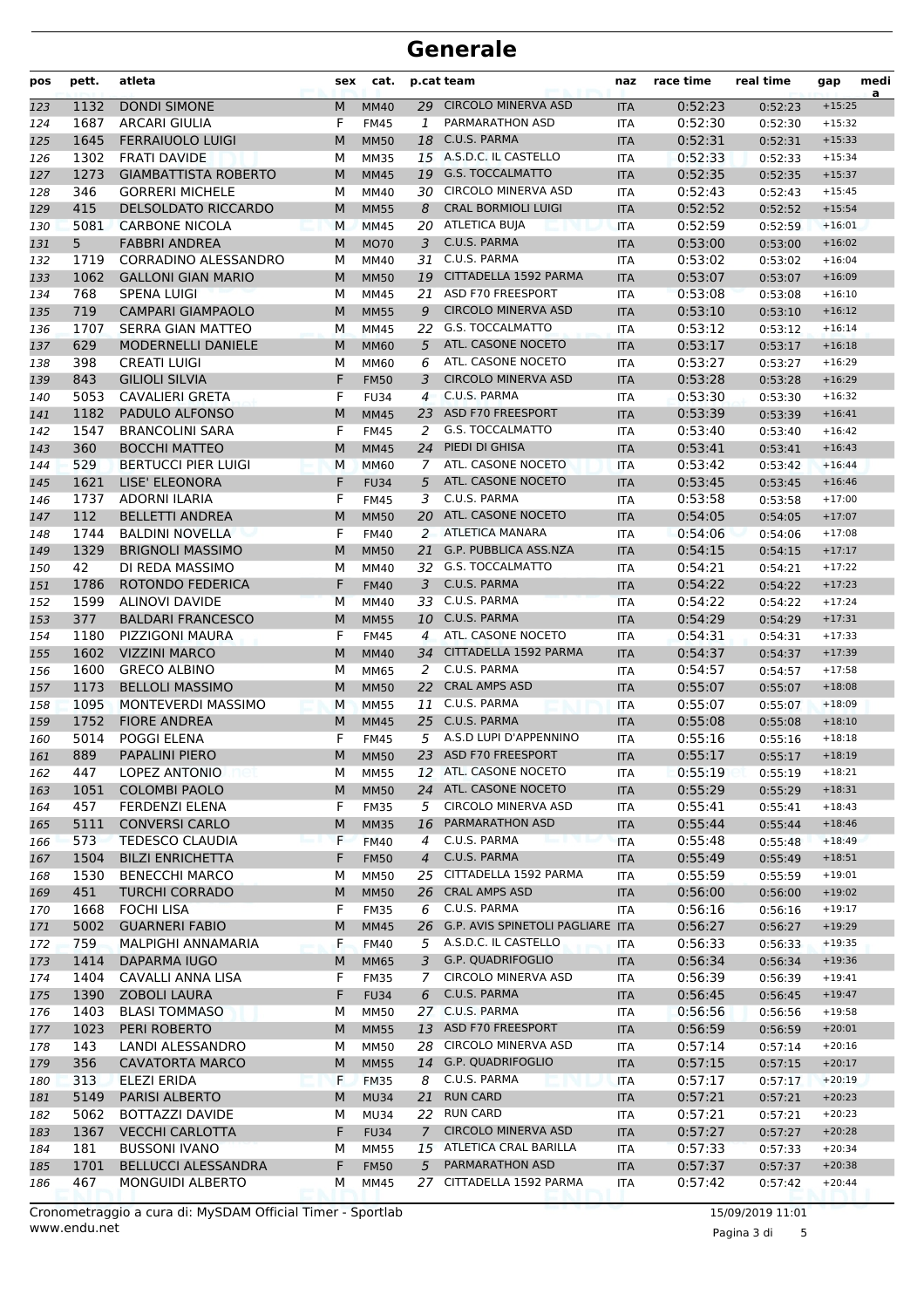| pos        | pett. | atleta                      | sex       | cat.        |                | p.cat team                          | naz        | race time | real time | gap      | medi<br>a |
|------------|-------|-----------------------------|-----------|-------------|----------------|-------------------------------------|------------|-----------|-----------|----------|-----------|
| 123        | 1132  | <b>DONDI SIMONE</b>         | M         | <b>MM40</b> | 29             | <b>CIRCOLO MINERVA ASD</b>          | <b>ITA</b> | 0:52:23   | 0:52:23   | $+15:25$ |           |
| 124        | 1687  | <b>ARCARI GIULIA</b>        | F         | <b>FM45</b> | $\mathbf{1}$   | PARMARATHON ASD                     | <b>ITA</b> | 0:52:30   | 0:52:30   | $+15:32$ |           |
| 125        | 1645  | <b>FERRAIUOLO LUIGI</b>     | M         | <b>MM50</b> | 18             | C.U.S. PARMA                        | <b>ITA</b> | 0:52:31   | 0:52:31   | $+15:33$ |           |
| 126        | 1302  | <b>FRATI DAVIDE</b>         | М         | <b>MM35</b> |                | 15 A.S.D.C. IL CASTELLO             | <b>ITA</b> | 0:52:33   | 0:52:33   | $+15:34$ |           |
| 127        | 1273  | <b>GIAMBATTISTA ROBERTO</b> | M         | <b>MM45</b> | 19             | <b>G.S. TOCCALMATTO</b>             | <b>ITA</b> | 0:52:35   | 0:52:35   | $+15:37$ |           |
| 128        | 346   | <b>GORRERI MICHELE</b>      | М         | MM40        |                | 30 CIRCOLO MINERVA ASD              | <b>ITA</b> | 0:52:43   | 0:52:43   | $+15:45$ |           |
| 129        | 415   | <b>DELSOLDATO RICCARDO</b>  | M         | <b>MM55</b> | 8              | <b>CRAL BORMIOLI LUIGI</b>          | <b>ITA</b> | 0:52:52   | 0:52:52   | $+15:54$ |           |
| 130        | 5081  | <b>CARBONE NICOLA</b>       | м         | <b>MM45</b> |                | 20 ATLETICA BUJA                    | <b>ITA</b> | 0:52:59   | 0:52:59   | $+16:01$ |           |
| 131        | 5     | <b>FABBRI ANDREA</b>        | M         | <b>MO70</b> | 3              | C.U.S. PARMA                        | <b>ITA</b> | 0:53:00   | 0:53:00   | $+16:02$ |           |
| 132        | 1719  | CORRADINO ALESSANDRO        | М         | MM40        | 31             | C.U.S. PARMA                        | <b>ITA</b> | 0:53:02   | 0:53:02   | $+16:04$ |           |
| 133        | 1062  | <b>GALLONI GIAN MARIO</b>   | M         | <b>MM50</b> | 19             | CITTADELLA 1592 PARMA               | <b>ITA</b> | 0:53:07   | 0:53:07   | $+16:09$ |           |
| 134        | 768   | <b>SPENA LUIGI</b>          | М         | <b>MM45</b> | 21             | <b>ASD F70 FREESPORT</b>            | <b>ITA</b> | 0:53:08   | 0:53:08   | $+16:10$ |           |
| 135        | 719   | <b>CAMPARI GIAMPAOLO</b>    | M         | <b>MM55</b> | 9              | <b>CIRCOLO MINERVA ASD</b>          | <b>ITA</b> | 0:53:10   | 0:53:10   | $+16:12$ |           |
| 136        | 1707  | SERRA GIAN MATTEO           | М         | MM45        |                | 22 G.S. TOCCALMATTO                 | <b>ITA</b> | 0:53:12   | 0:53:12   | $+16:14$ |           |
| 137        | 629   | <b>MODERNELLI DANIELE</b>   | M         | <b>MM60</b> | 5              | ATL. CASONE NOCETO                  | <b>ITA</b> | 0:53:17   | 0:53:17   | $+16:18$ |           |
| 138        | 398   | <b>CREATI LUIGI</b>         | М         | MM60        | 6              | ATL. CASONE NOCETO                  | <b>ITA</b> | 0:53:27   | 0:53:27   | $+16:29$ |           |
| 139        | 843   | <b>GILIOLI SILVIA</b>       | F         | <b>FM50</b> | 3              | <b>CIRCOLO MINERVA ASD</b>          | <b>ITA</b> | 0:53:28   | 0:53:28   | $+16:29$ |           |
| 140        | 5053  | CAVALIERI GRETA             | F         | <b>FU34</b> | 4              | C.U.S. PARMA                        | <b>ITA</b> | 0:53:30   | 0:53:30   | $+16:32$ |           |
| 141        | 1182  | PADULO ALFONSO              | M         | <b>MM45</b> | 23             | ASD F70 FREESPORT                   | <b>ITA</b> | 0:53:39   | 0:53:39   | $+16:41$ |           |
| 142        | 1547  | <b>BRANCOLINI SARA</b>      | F         | <b>FM45</b> | 2              | <b>G.S. TOCCALMATTO</b>             | <b>ITA</b> | 0:53:40   | 0:53:40   | $+16:42$ |           |
| 143        | 360   | <b>BOCCHI MATTEO</b>        | M         | <b>MM45</b> | 24             | PIEDI DI GHISA                      | <b>ITA</b> | 0:53:41   | 0:53:41   | $+16:43$ |           |
| 144        | 529   | <b>BERTUCCI PIER LUIGI</b>  | M         | <b>MM60</b> | 7              | ATL. CASONE NOCETO                  | <b>ITA</b> | 0:53:42   | 0:53:42   | $+16:44$ |           |
| 145        | 1621  | LISE' ELEONORA              | F         | <b>FU34</b> | 5              | ATL. CASONE NOCETO                  | <b>ITA</b> | 0:53:45   | 0:53:45   | $+16:46$ |           |
| 146        | 1737  | <b>ADORNI ILARIA</b>        | F         | <b>FM45</b> | 3              | C.U.S. PARMA                        | <b>ITA</b> | 0:53:58   | 0:53:58   | $+17:00$ |           |
| 147        | 112   | <b>BELLETTI ANDREA</b>      | M         | <b>MM50</b> | 20             | ATL. CASONE NOCETO                  | <b>ITA</b> | 0:54:05   | 0:54:05   | $+17:07$ |           |
| 148        | 1744  | <b>BALDINI NOVELLA</b>      | F         | <b>FM40</b> | 2              | <b>ATLETICA MANARA</b>              | <b>ITA</b> | 0:54:06   | 0:54:06   | $+17:08$ |           |
| 149        | 1329  | <b>BRIGNOLI MASSIMO</b>     | M         | <b>MM50</b> | 21             | G.P. PUBBLICA ASS.NZA               | <b>ITA</b> | 0:54:15   | 0:54:15   | $+17:17$ |           |
| 150        | 42    | DI REDA MASSIMO             | M         | MM40        | 32             | <b>G.S. TOCCALMATTO</b>             | <b>ITA</b> | 0:54:21   | 0:54:21   | $+17:22$ |           |
| 151        | 1786  | ROTONDO FEDERICA            | F         | <b>FM40</b> | 3              | C.U.S. PARMA                        | <b>ITA</b> | 0:54:22   | 0:54:22   | $+17:23$ |           |
| 152        | 1599  | <b>ALINOVI DAVIDE</b>       | M         | <b>MM40</b> |                | 33 C.U.S. PARMA                     | <b>ITA</b> | 0:54:22   | 0:54:22   | $+17:24$ |           |
| 153        | 377   | <b>BALDARI FRANCESCO</b>    | M         | <b>MM55</b> | 10             | C.U.S. PARMA                        | <b>ITA</b> | 0:54:29   | 0:54:29   | $+17:31$ |           |
| 154        | 1180  | PIZZIGONI MAURA             | F         | <b>FM45</b> | $\overline{4}$ | ATL. CASONE NOCETO                  | <b>ITA</b> | 0:54:31   | 0:54:31   | $+17:33$ |           |
| 155        | 1602  | <b>VIZZINI MARCO</b>        | M         | <b>MM40</b> | 34             | CITTADELLA 1592 PARMA               | <b>ITA</b> | 0:54:37   | 0:54:37   | $+17:39$ |           |
| 156        | 1600  | <b>GRECO ALBINO</b>         | М         | MM65        | 2              | C.U.S. PARMA                        | <b>ITA</b> | 0:54:57   | 0:54:57   | $+17:58$ |           |
| 157        | 1173  | <b>BELLOLI MASSIMO</b>      | M         | <b>MM50</b> | 22             | <b>CRAL AMPS ASD</b>                | <b>ITA</b> | 0:55:07   | 0:55:07   | $+18:08$ |           |
| 158        | 1095  | MONTEVERDI MASSIMO          | M         | <b>MM55</b> | 11             | C.U.S. PARMA                        | <b>ITA</b> | 0:55:07   | 0:55:07   | $+18:09$ |           |
| 159        | 1752  | <b>FIORE ANDREA</b>         | M         | <b>MM45</b> | 25             | C.U.S. PARMA                        | <b>ITA</b> | 0:55:08   | 0:55:08   | $+18:10$ |           |
| 160        | 5014  | POGGI ELENA                 | F         | <b>FM45</b> | 5              | A.S.D LUPI D'APPENNINO              | <b>ITA</b> | 0:55:16   | 0:55:16   | $+18:18$ |           |
| 161        | 889   | <b>PAPALINI PIERO</b>       | М         | <b>MM50</b> |                | 23 ASD F70 FREESPORT                | <b>ITA</b> | 0:55:17   | 0:55:17   | $+18:19$ |           |
| 162        | 447   | LOPEZ ANTONIO               | м         | <b>MM55</b> |                | 12 ATL. CASONE NOCETO               | ITA        | 0:55:19   | 0:55:19   | $+18:21$ |           |
| 163        | 1051  | <b>COLOMBI PAOLO</b>        | M         | <b>MM50</b> |                | 24 ATL. CASONE NOCETO               | <b>ITA</b> | 0:55:29   | 0:55:29   | $+18:31$ |           |
| 164        | 457   | FERDENZI ELENA              | F         | <b>FM35</b> | 5              | CIRCOLO MINERVA ASD                 | ITA        | 0:55:41   | 0:55:41   | $+18:43$ |           |
| 165        | 5111  | <b>CONVERSI CARLO</b>       | М         | <b>MM35</b> | 16             | PARMARATHON ASD                     | <b>ITA</b> | 0:55:44   | 0:55:44   | $+18:46$ |           |
| 166        | 573   | <b>TEDESCO CLAUDIA</b>      | F         | <b>FM40</b> | $\overline{4}$ | C.U.S. PARMA                        | <b>ITA</b> | 0:55:48   | 0:55:48   | $+18:49$ |           |
| 167        | 1504  | <b>BILZI ENRICHETTA</b>     | F         | <b>FM50</b> | $\overline{4}$ | C.U.S. PARMA                        | <b>ITA</b> | 0:55:49   | 0:55:49   | $+18:51$ |           |
| 168        | 1530  | <b>BENECCHI MARCO</b>       | М         | <b>MM50</b> | 25             | CITTADELLA 1592 PARMA               | ITA        | 0:55:59   | 0:55:59   | $+19:01$ |           |
| 169        | 451   | <b>TURCHI CORRADO</b>       | ${\sf M}$ | <b>MM50</b> | 26             | <b>CRAL AMPS ASD</b>                | <b>ITA</b> | 0:56:00   | 0:56:00   | $+19:02$ |           |
| 170        | 1668  | <b>FOCHI LISA</b>           | F         | <b>FM35</b> | 6              | C.U.S. PARMA                        | ITA        | 0:56:16   | 0:56:16   | $+19:17$ |           |
| 171        | 5002  | <b>GUARNERI FABIO</b>       | М         | <b>MM45</b> |                | 26 G.P. AVIS SPINETOLI PAGLIARE ITA |            | 0:56:27   | 0:56:27   | $+19:29$ |           |
| 172        | 759   | MALPIGHI ANNAMARIA          | F         | <b>FM40</b> |                | 5 A.S.D.C. IL CASTELLO              | ITA        | 0:56:33   | 0:56:33   | $+19:35$ |           |
| 173        | 1414  | <b>DAPARMA IUGO</b>         | M         | <b>MM65</b> | 3              | G.P. QUADRIFOGLIO                   | <b>ITA</b> | 0:56:34   | 0:56:34   | $+19:36$ |           |
| 174        | 1404  | CAVALLI ANNA LISA           | F         | <b>FM35</b> | 7              | CIRCOLO MINERVA ASD                 | ITA        | 0:56:39   | 0:56:39   | $+19:41$ |           |
| 175        | 1390  | <b>ZOBOLI LAURA</b>         | F         | <b>FU34</b> | 6              | C.U.S. PARMA                        | <b>ITA</b> | 0:56:45   | 0:56:45   | $+19:47$ |           |
| 176        | 1403  | <b>BLASI TOMMASO</b>        | м         | MM50        |                | 27 C.U.S. PARMA                     | ITA        | 0:56:56   | 0:56:56   | $+19:58$ |           |
| 177        | 1023  | PERI ROBERTO                | M         | <b>MM55</b> |                | 13 ASD F70 FREESPORT                | <b>ITA</b> | 0:56:59   | 0:56:59   | $+20:01$ |           |
| 178        | 143   | LANDI ALESSANDRO            | М         | MM50        |                | 28 CIRCOLO MINERVA ASD              | <b>ITA</b> | 0:57:14   | 0:57:14   | $+20:16$ |           |
| 179        | 356   | <b>CAVATORTA MARCO</b>      | M         | <b>MM55</b> | 14             | G.P. QUADRIFOGLIO                   | <b>ITA</b> | 0:57:15   | 0:57:15   | $+20:17$ |           |
| 180        | 313   | ELEZI ERIDA                 | F         | <b>FM35</b> | 8              | C.U.S. PARMA                        | ITA        | 0:57:17   | 0:57:17   | $+20:19$ |           |
| 181        | 5149  | <b>PARISI ALBERTO</b>       | M         | MU34        | 21             | <b>RUN CARD</b>                     | <b>ITA</b> | 0:57:21   | 0:57:21   | $+20:23$ |           |
| 182        | 5062  | <b>BOTTAZZI DAVIDE</b>      | м         | MU34        |                | 22 RUN CARD                         | ITA        | 0:57:21   | 0:57:21   | $+20:23$ |           |
|            | 1367  | <b>VECCHI CARLOTTA</b>      | F         | <b>FU34</b> | $\mathcal{I}$  | <b>CIRCOLO MINERVA ASD</b>          | <b>ITA</b> | 0:57:27   | 0:57:27   | $+20:28$ |           |
| 183<br>184 | 181   | <b>BUSSONI IVANO</b>        | М         | <b>MM55</b> |                | 15 ATLETICA CRAL BARILLA            | <b>ITA</b> | 0:57:33   | 0:57:33   | $+20:34$ |           |
| 185        | 1701  | BELLUCCI ALESSANDRA         | F         | <b>FM50</b> | 5              | PARMARATHON ASD                     | <b>ITA</b> | 0:57:37   | 0:57:37   | $+20:38$ |           |
|            | 467   |                             |           |             | 27             | CITTADELLA 1592 PARMA               |            |           |           | $+20:44$ |           |
| 186        |       | <b>MONGUIDI ALBERTO</b>     | м         | MM45        |                |                                     | ITA        | 0:57:42   | 0:57:42   |          |           |

www.endu.net Cronometraggio a cura di: MySDAM Official Timer - Sportlab 15/09/2019 11:01

Pagina 3 di 5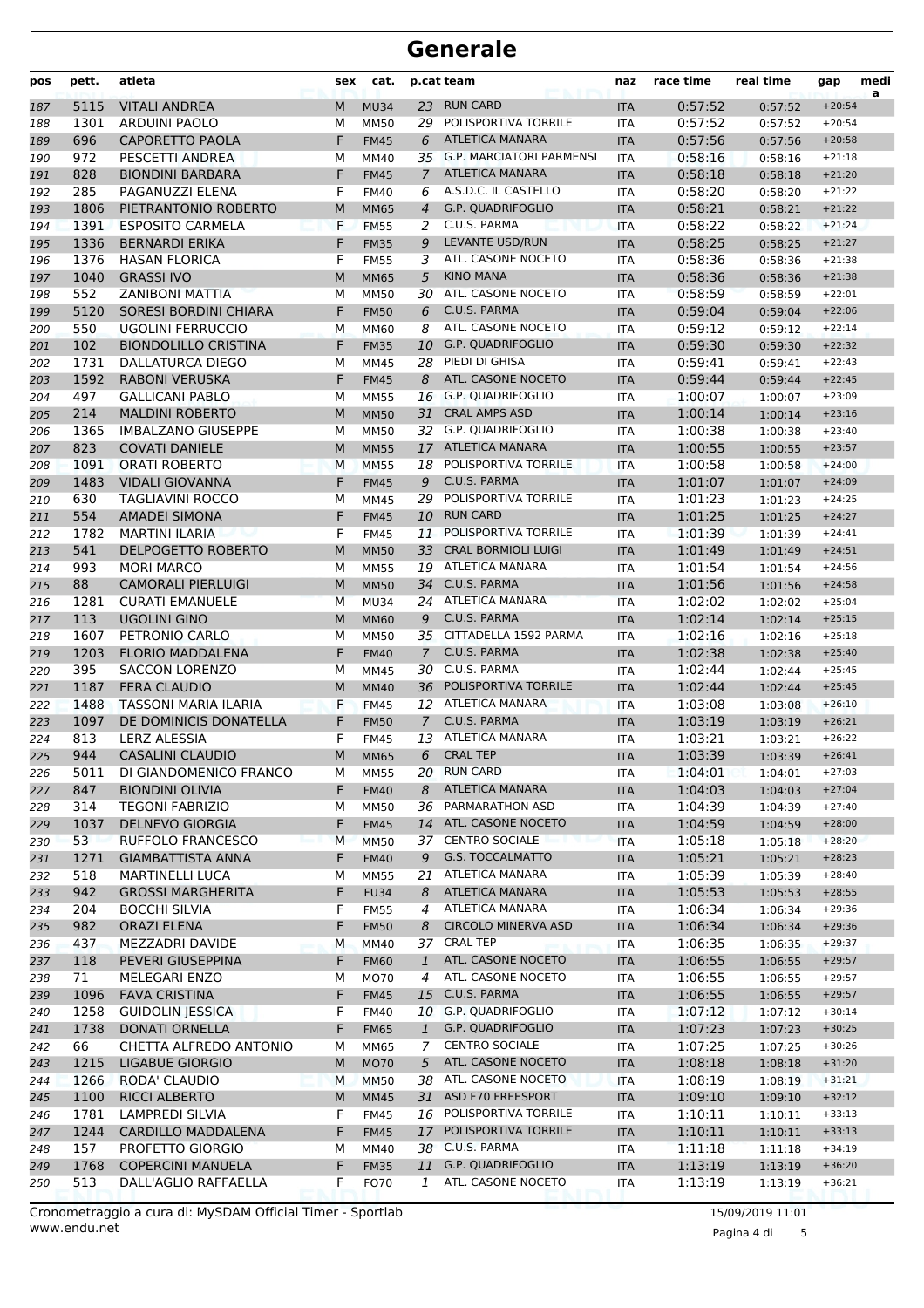| pos        | pett.       | atleta                                              | sex    | cat.                |                | p.cat team                                       | naz                      | race time          | real time          | gap                  | medi<br>a |
|------------|-------------|-----------------------------------------------------|--------|---------------------|----------------|--------------------------------------------------|--------------------------|--------------------|--------------------|----------------------|-----------|
| 187        | 5115        | <b>VITALI ANDREA</b>                                | M      | <b>MU34</b>         | 23             | <b>RUN CARD</b>                                  | <b>ITA</b>               | 0:57:52            | 0:57:52            | $+20:54$             |           |
| 188        | 1301        | <b>ARDUINI PAOLO</b>                                | М      | <b>MM50</b>         | 29             | POLISPORTIVA TORRILE                             | ITA                      | 0:57:52            | 0:57:52            | $+20:54$             |           |
| 189        | 696         | CAPORETTO PAOLA                                     | F      | <b>FM45</b>         | 6              | <b>ATLETICA MANARA</b>                           | <b>ITA</b>               | 0:57:56            | 0:57:56            | $+20:58$             |           |
| 190        | 972         | PESCETTI ANDREA                                     | м      | MM40                |                | 35 G.P. MARCIATORI PARMENSI                      | <b>ITA</b>               | 0:58:16            | 0:58:16            | $+21:18$             |           |
| 191        | 828         | <b>BIONDINI BARBARA</b>                             | F      | <b>FM45</b>         | 7              | <b>ATLETICA MANARA</b>                           | <b>ITA</b>               | 0:58:18            | 0:58:18            | $+21:20$             |           |
| 192        | 285         | PAGANUZZI ELENA                                     | F      | <b>FM40</b>         | 6              | A.S.D.C. IL CASTELLO                             | <b>ITA</b>               | 0:58:20            | 0:58:20            | $+21:22$             |           |
| 193        | 1806        | PIETRANTONIO ROBERTO                                | M      | <b>MM65</b>         | 4              | <b>G.P. QUADRIFOGLIO</b>                         | <b>ITA</b>               | 0:58:21            | 0:58:21            | $+21:22$             |           |
| 194        | 1391        | <b>ESPOSITO CARMELA</b>                             | F      | <b>FM55</b>         | 2              | C.U.S. PARMA                                     | <b>ITA</b>               | 0:58:22            | 0:58:22            | $+21:24$             |           |
| 195        | 1336        | <b>BERNARDI ERIKA</b>                               | F      | <b>FM35</b>         | 9              | <b>LEVANTE USD/RUN</b>                           | <b>ITA</b>               | 0:58:25            | 0:58:25            | $+21:27$             |           |
| 196        | 1376        | <b>HASAN FLORICA</b>                                | F      | <b>FM55</b>         | 3              | ATL. CASONE NOCETO                               | <b>ITA</b>               | 0:58:36            | 0:58:36            | $+21:38$             |           |
| 197        | 1040        | <b>GRASSI IVO</b>                                   | M      | <b>MM65</b>         | 5              | <b>KINO MANA</b>                                 | <b>ITA</b>               | 0:58:36            | 0:58:36            | $+21:38$             |           |
| 198        | 552         | ZANIBONI MATTIA                                     | М      | <b>MM50</b>         | 30             | ATL. CASONE NOCETO                               | <b>ITA</b>               | 0:58:59            | 0:58:59            | $+22:01$             |           |
| 199        | 5120        | <b>SORESI BORDINI CHIARA</b>                        | F      | <b>FM50</b>         | 6              | C.U.S. PARMA                                     | <b>ITA</b>               | 0:59:04            | 0:59:04            | $+22:06$             |           |
| 200        | 550         | <b>UGOLINI FERRUCCIO</b>                            | М      | <b>MM60</b>         | 8              | ATL. CASONE NOCETO                               | <b>ITA</b>               | 0:59:12            | 0:59:12            | $+22:14$             |           |
| 201        | 102         | <b>BIONDOLILLO CRISTINA</b>                         | F      | <b>FM35</b>         | 10             | <b>G.P. QUADRIFOGLIO</b>                         | <b>ITA</b>               | 0:59:30            | 0:59:30            | $+22:32$             |           |
| 202        | 1731        | DALLATURCA DIEGO                                    | М      | MM45                | 28             | PIEDI DI GHISA                                   | <b>ITA</b>               | 0:59:41            | 0:59:41            | $+22:43$             |           |
| 203        | 1592        | <b>RABONI VERUSKA</b>                               | F      | <b>FM45</b>         | 8              | ATL. CASONE NOCETO                               | <b>ITA</b>               | 0:59:44            | 0:59:44            | $+22:45$             |           |
| 204        | 497         | <b>GALLICANI PABLO</b>                              | М      | <b>MM55</b>         | 16             | <b>G.P. QUADRIFOGLIO</b><br><b>CRAL AMPS ASD</b> | <b>ITA</b>               | 1:00:07            | 1:00:07            | $+23:09$             |           |
| 205        | 214         | <b>MALDINI ROBERTO</b>                              | M      | <b>MM50</b>         | 31             |                                                  | <b>ITA</b>               | 1:00:14<br>1:00:38 | 1:00:14            | $+23:16$             |           |
| 206        | 1365        | <b>IMBALZANO GIUSEPPE</b>                           | М      | <b>MM50</b>         |                | 32 G.P. QUADRIFOGLIO<br><b>ATLETICA MANARA</b>   | <b>ITA</b>               |                    | 1:00:38            | $+23:40$             |           |
| 207        | 823         | <b>COVATI DANIELE</b>                               | M      | <b>MM55</b>         | 17             | POLISPORTIVA TORRILE                             | <b>ITA</b>               | 1:00:55            | 1:00:55            | $+23:57$             |           |
| 208        | 1091        | <b>ORATI ROBERTO</b><br><b>VIDALI GIOVANNA</b>      | M<br>F | <b>MM55</b>         | 18<br>9        | C.U.S. PARMA                                     | <b>ITA</b>               | 1:00:58<br>1:01:07 | 1:00:58<br>1:01:07 | $+24:00$<br>$+24:09$ |           |
| 209        | 1483<br>630 | <b>TAGLIAVINI ROCCO</b>                             | М      | <b>FM45</b>         | 29             | POLISPORTIVA TORRILE                             | <b>ITA</b>               | 1:01:23            | 1:01:23            | $+24:25$             |           |
| 210<br>211 | 554         | <b>AMADEI SIMONA</b>                                | F      | MM45<br><b>FM45</b> | 10             | <b>RUN CARD</b>                                  | <b>ITA</b><br><b>ITA</b> | 1:01:25            | 1:01:25            | $+24:27$             |           |
| 212        | 1782        | <b>MARTINI ILARIA</b>                               | F      | <b>FM45</b>         | 11             | POLISPORTIVA TORRILE                             | <b>ITA</b>               | 1:01:39            | 1:01:39            | $+24:41$             |           |
| 213        | 541         | DELPOGETTO ROBERTO                                  | M      | <b>MM50</b>         | 33             | <b>CRAL BORMIOLI LUIGI</b>                       | <b>ITA</b>               | 1:01:49            | 1:01:49            | $+24:51$             |           |
| 214        | 993         | <b>MORI MARCO</b>                                   | М      | <b>MM55</b>         | 19             | ATLETICA MANARA                                  | <b>ITA</b>               | 1:01:54            | 1:01:54            | $+24:56$             |           |
| 215        | 88          | <b>CAMORALI PIERLUIGI</b>                           | M      | <b>MM50</b>         | 34             | C.U.S. PARMA                                     | <b>ITA</b>               | 1:01:56            | 1:01:56            | $+24:58$             |           |
| 216        | 1281        | <b>CURATI EMANUELE</b>                              | M      | <b>MU34</b>         |                | 24 ATLETICA MANARA                               | <b>ITA</b>               | 1:02:02            | 1:02:02            | $+25:04$             |           |
| 217        | 113         | <b>UGOLINI GINO</b>                                 | M      | <b>MM60</b>         | 9              | C.U.S. PARMA                                     | <b>ITA</b>               | 1:02:14            | 1:02:14            | $+25:15$             |           |
| 218        | 1607        | PETRONIO CARLO                                      | М      | <b>MM50</b>         |                | 35 CITTADELLA 1592 PARMA                         | <b>ITA</b>               | 1:02:16            | 1:02:16            | $+25:18$             |           |
| 219        | 1203        | <b>FLORIO MADDALENA</b>                             | F      | <b>FM40</b>         | $\overline{7}$ | C.U.S. PARMA                                     | <b>ITA</b>               | 1:02:38            | 1:02:38            | $+25:40$             |           |
| 220        | 395         | <b>SACCON LORENZO</b>                               | м      | MM45                | 30             | C.U.S. PARMA                                     | <b>ITA</b>               | 1:02:44            | 1:02:44            | $+25:45$             |           |
| 221        | 1187        | <b>FERA CLAUDIO</b>                                 | M      | <b>MM40</b>         | 36             | POLISPORTIVA TORRILE                             | <b>ITA</b>               | 1:02:44            | 1:02:44            | $+25:45$             |           |
| 222        | 1488        | <b>TASSONI MARIA ILARIA</b>                         | F      | <b>FM45</b>         |                | 12 ATLETICA MANARA                               | <b>ITA</b>               | 1:03:08            | 1:03:08            | $+26:10$             |           |
| 223        | 1097        | DE DOMINICIS DONATELLA                              | F      | <b>FM50</b>         | $\overline{7}$ | C.U.S. PARMA                                     | <b>ITA</b>               | 1:03:19            | 1:03:19            | $+26:21$             |           |
| 224        | 813         | <b>LERZ ALESSIA</b>                                 | F      | <b>FM45</b>         | 13             | <b>ATLETICA MANARA</b>                           | <b>ITA</b>               | 1:03:21            | 1:03:21            | $+26:22$             |           |
| 225        | 944         | <b>CASALINI CLAUDIO</b>                             | M      | <b>MM65</b>         | 6              | <b>CRAL TEP</b>                                  | <b>ITA</b>               | 1:03:39            | 1:03:39            | $+26:41$             |           |
| 226        | 5011        | DI GIANDOMENICO FRANCO                              | м      | <b>MM55</b>         |                | 20 RUN CARD                                      | ITA                      | 1:04:01            | 1:04:01            | $+27:03$             |           |
| 227        | 847         | <b>BIONDINI OLIVIA</b>                              | F      | <b>FM40</b>         | 8              | <b>ATLETICA MANARA</b>                           | <b>ITA</b>               | 1:04:03            | 1:04:03            | $+27:04$             |           |
| 228        | 314         | <b>TEGONI FABRIZIO</b>                              | М      | <b>MM50</b>         | 36             | PARMARATHON ASD                                  | ITA                      | 1:04:39            | 1:04:39            | $+27:40$             |           |
| 229        | 1037        | <b>DELNEVO GIORGIA</b>                              | F      | <b>FM45</b>         |                | 14 ATL. CASONE NOCETO                            | <b>ITA</b>               | 1:04:59            | 1:04:59            | $+28:00$             |           |
| 230        | 53          | <b>RUFFOLO FRANCESCO</b>                            | M      | <b>MM50</b>         |                | 37 CENTRO SOCIALE                                | <b>ITA</b>               | 1:05:18            | 1:05:18            | $+28:20$             |           |
| 231        | 1271        | <b>GIAMBATTISTA ANNA</b>                            | F      | <b>FM40</b>         | 9              | G.S. TOCCALMATTO                                 | <b>ITA</b>               | 1:05:21            | 1:05:21            | $+28:23$             |           |
| 232        | 518         | <b>MARTINELLI LUCA</b>                              | М      | <b>MM55</b>         | 21             | ATLETICA MANARA                                  | ITA                      | 1:05:39            | 1:05:39            | $+28:40$             |           |
| 233        | 942         | <b>GROSSI MARGHERITA</b>                            | F      | <b>FU34</b>         | 8              | ATLETICA MANARA                                  | <b>ITA</b>               | 1:05:53            | 1:05:53            | $+28:55$             |           |
| 234        | 204         | <b>BOCCHI SILVIA</b>                                | F      | <b>FM55</b>         | 4              | ATLETICA MANARA                                  | ITA                      | 1:06:34            | 1:06:34            | $+29:36$             |           |
| 235        | 982         | <b>ORAZI ELENA</b>                                  | F      | <b>FM50</b>         | 8              | <b>CIRCOLO MINERVA ASD</b>                       | <b>ITA</b>               | 1:06:34            | 1:06:34            | $+29:36$             |           |
| 236        | 437         | MEZZADRI DAVIDE                                     | M      | <b>MM40</b>         |                | 37 CRAL TEP                                      | ITA                      | 1:06:35            | 1:06:35            | $+29:37$             |           |
| 237        | 118         | PEVERI GIUSEPPINA                                   | F      | <b>FM60</b>         | $\mathbf{1}$   | ATL. CASONE NOCETO                               | <b>ITA</b>               | 1:06:55            | 1:06:55            | $+29:57$             |           |
| 238        | 71          | MELEGARI ENZO                                       | М      | MO70                | 4              | ATL. CASONE NOCETO                               | ITA                      | 1:06:55            | 1:06:55            | $+29:57$             |           |
| 239        | 1096        | <b>FAVA CRISTINA</b>                                | F      | <b>FM45</b>         | 15             | C.U.S. PARMA                                     | <b>ITA</b>               | 1:06:55            | 1:06:55            | $+29:57$             |           |
| 240        | 1258        | <b>GUIDOLIN JESSICA</b>                             | F      | <b>FM40</b>         |                | 10 G.P. QUADRIFOGLIO                             | ITA                      | 1:07:12            | 1:07:12            | $+30:14$             |           |
| 241        | 1738        | <b>DONATI ORNELLA</b>                               | F      | <b>FM65</b>         | 1              | G.P. QUADRIFOGLIO                                | <b>ITA</b>               | 1:07:23            | 1:07:23            | $+30:25$             |           |
| 242        | 66          | CHETTA ALFREDO ANTONIO                              | M      | MM65                | 7              | <b>CENTRO SOCIALE</b>                            | <b>ITA</b>               | 1:07:25            | 1:07:25            | $+30:26$             |           |
| 243        | 1215        | <b>LIGABUE GIORGIO</b>                              | М      | <b>MO70</b>         | 5 <sup>5</sup> | ATL. CASONE NOCETO                               | <b>ITA</b>               | 1:08:18            | 1:08:18            | $+31:20$             |           |
| 244        | 1266        | RODA' CLAUDIO                                       | М      | <b>MM50</b>         |                | 38 ATL. CASONE NOCETO                            | <b>ITA</b>               | 1:08:19            | 1:08:19            | $+31:21$             |           |
| 245        | 1100        | <b>RICCI ALBERTO</b>                                | M      | <b>MM45</b>         | 31             | ASD F70 FREESPORT                                | <b>ITA</b>               | 1:09:10            | 1:09:10            | $+32:12$             |           |
| 246        | 1781        | <b>LAMPREDI SILVIA</b><br><b>CARDILLO MADDALENA</b> | F      | <b>FM45</b>         |                | 16 POLISPORTIVA TORRILE<br>POLISPORTIVA TORRILE  | ITA                      | 1:10:11            | 1:10:11            | $+33:13$             |           |
| 247        | 1244<br>157 | PROFETTO GIORGIO                                    | F      | <b>FM45</b>         | 17             | 38 C.U.S. PARMA                                  | <b>ITA</b>               | 1:10:11<br>1:11:18 | 1:10:11            | $+33:13$<br>$+34:19$ |           |
| 248        | 1768        | <b>COPERCINI MANUELA</b>                            | М<br>F | MM40<br><b>FM35</b> | 11             | G.P. QUADRIFOGLIO                                | <b>ITA</b><br><b>ITA</b> | 1:13:19            | 1:11:18<br>1:13:19 | $+36:20$             |           |
| 249<br>250 | 513         | DALL'AGLIO RAFFAELLA                                | F      | FO70                | 1              | ATL. CASONE NOCETO                               | ITA                      | 1:13:19            | 1:13:19            | $+36:21$             |           |
|            |             |                                                     |        |                     |                |                                                  |                          |                    |                    |                      |           |

www.endu.net Cronometraggio a cura di: MySDAM Official Timer - Sportlab 15/09/2019 11:01

Pagina 4 di 5